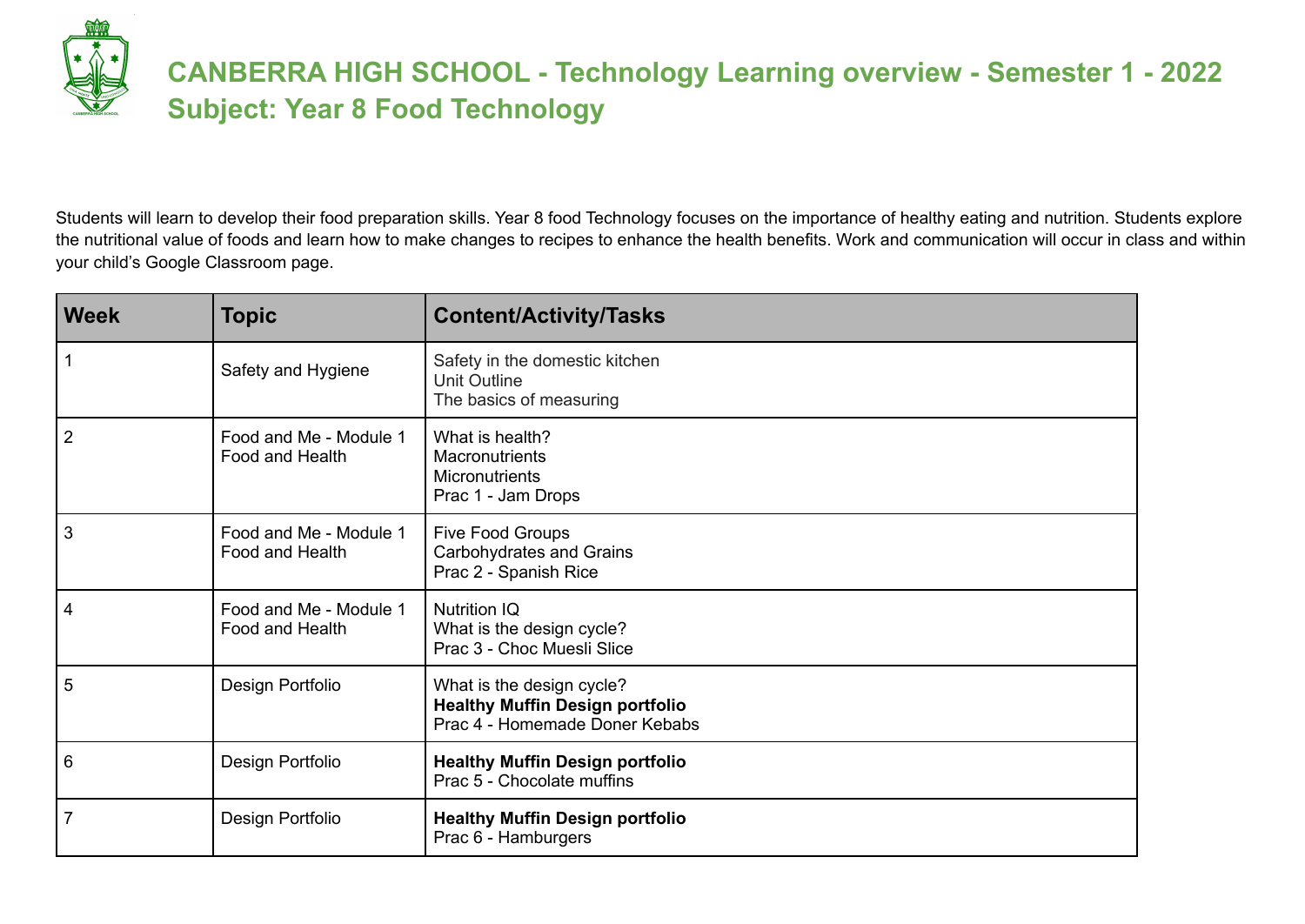Students will learn to develop their food preparation skills. Year 8 food Technology focuses on the importance of healthy eating and nutrition. Students explore the nutritional value of foods and learn how to make changes to recipes to enhance the health benefits. Work and communication will occur in class and within your child's Google Classroom page.

| <b>Week</b>    | <b>Topic</b>                              | <b>Content/Activity/Tasks</b>                                                                         |
|----------------|-------------------------------------------|-------------------------------------------------------------------------------------------------------|
|                | Safety and Hygiene                        | Safety in the domestic kitchen<br>Unit Outline<br>The basics of measuring                             |
| $\overline{2}$ | Food and Me - Module 1<br>Food and Health | What is health?<br><b>Macronutrients</b><br>Micronutrients<br>Prac 1 - Jam Drops                      |
| 3              | Food and Me - Module 1<br>Food and Health | Five Food Groups<br>Carbohydrates and Grains<br>Prac 2 - Spanish Rice                                 |
| 4              | Food and Me - Module 1<br>Food and Health | <b>Nutrition IQ</b><br>What is the design cycle?<br>Prac 3 - Choc Muesli Slice                        |
| 5              | Design Portfolio                          | What is the design cycle?<br><b>Healthy Muffin Design portfolio</b><br>Prac 4 - Homemade Doner Kebabs |
| 6              | Design Portfolio                          | <b>Healthy Muffin Design portfolio</b><br>Prac 5 - Chocolate muffins                                  |
| $\overline{7}$ | Design Portfolio                          | <b>Healthy Muffin Design portfolio</b><br>Prac 6 - Hamburgers                                         |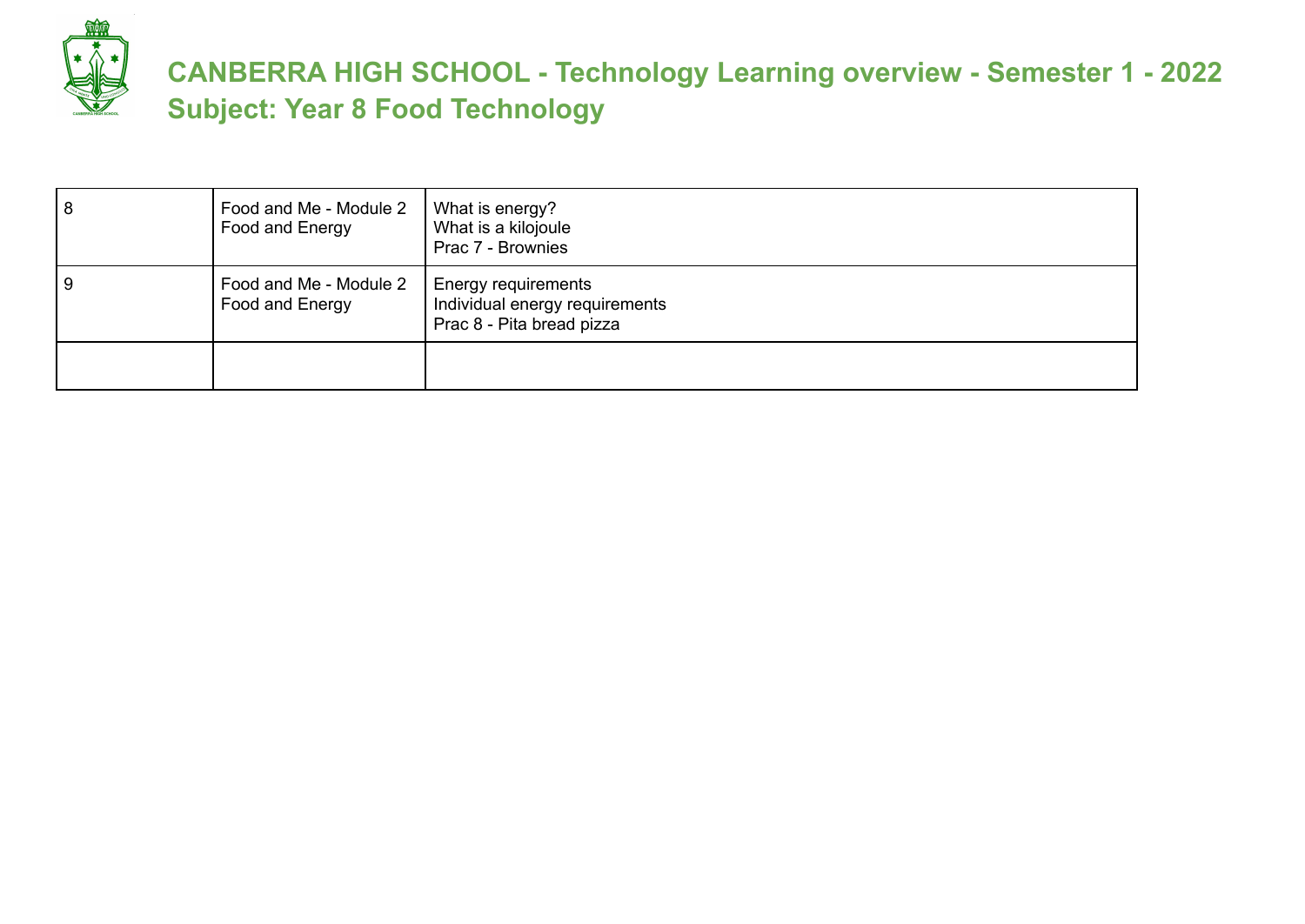

| 8 | Food and Me - Module 2<br>Food and Energy | What is energy?<br>What is a kilojoule<br>Prac 7 - Brownies                        |
|---|-------------------------------------------|------------------------------------------------------------------------------------|
| 9 | Food and Me - Module 2<br>Food and Energy | Energy requirements<br>Individual energy requirements<br>Prac 8 - Pita bread pizza |
|   |                                           |                                                                                    |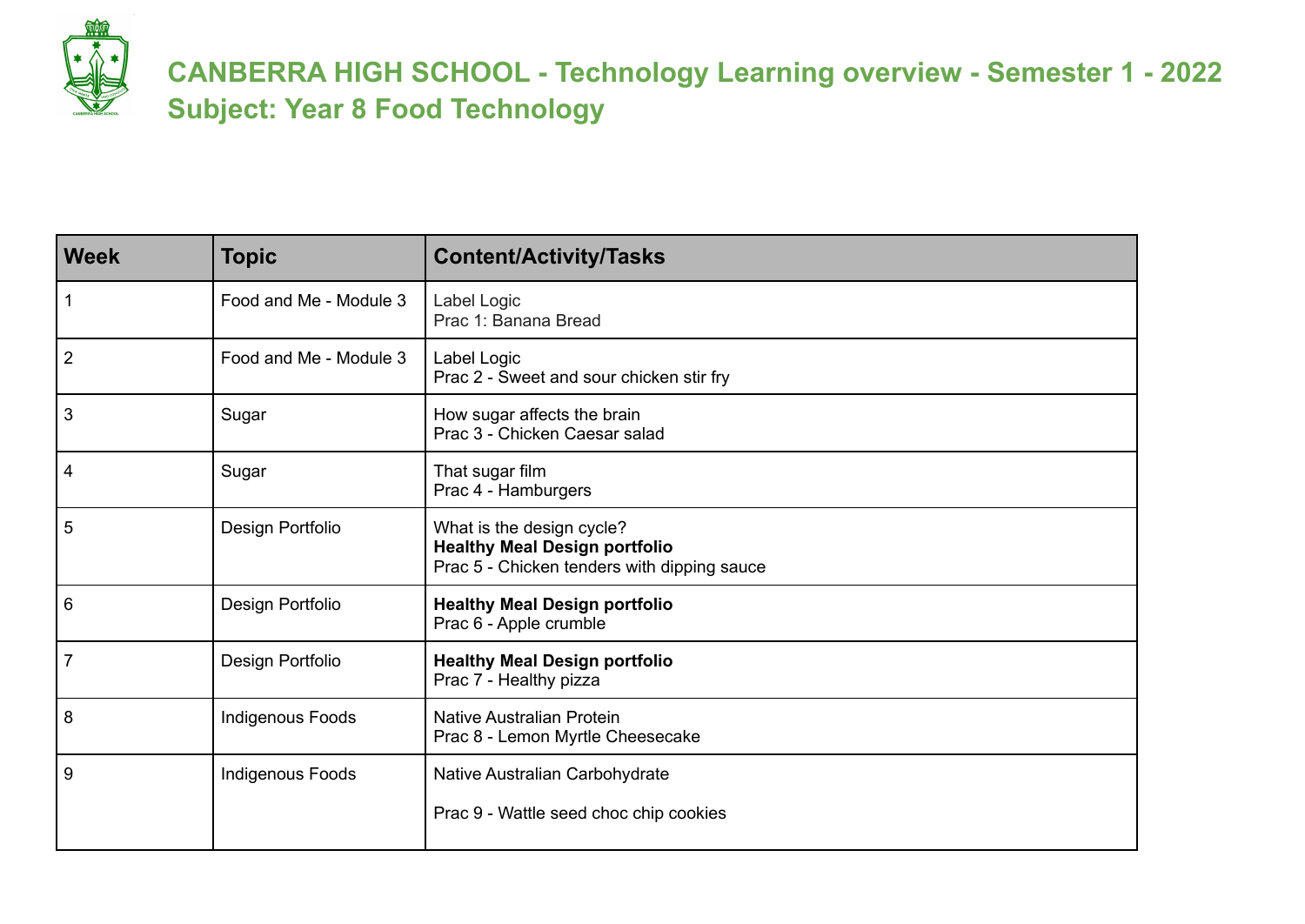| <b>Week</b>    | <b>Topic</b>           | <b>Content/Activity/Tasks</b>                                                                                    |
|----------------|------------------------|------------------------------------------------------------------------------------------------------------------|
|                | Food and Me - Module 3 | Label Logic<br>Prac 1: Banana Bread                                                                              |
| $\overline{2}$ | Food and Me - Module 3 | Label Logic<br>Prac 2 - Sweet and sour chicken stir fry                                                          |
| 3              | Sugar                  | How sugar affects the brain<br>Prac 3 - Chicken Caesar salad                                                     |
| 4              | Sugar                  | That sugar film<br>Prac 4 - Hamburgers                                                                           |
| 5              | Design Portfolio       | What is the design cycle?<br><b>Healthy Meal Design portfolio</b><br>Prac 5 - Chicken tenders with dipping sauce |
| 6              | Design Portfolio       | <b>Healthy Meal Design portfolio</b><br>Prac 6 - Apple crumble                                                   |
| $\overline{7}$ | Design Portfolio       | <b>Healthy Meal Design portfolio</b><br>Prac 7 - Healthy pizza                                                   |
| 8              | Indigenous Foods       | Native Australian Protein<br>Prac 8 - Lemon Myrtle Cheesecake                                                    |
| 9              | Indigenous Foods       | Native Australian Carbohydrate                                                                                   |
|                |                        | Prac 9 - Wattle seed choc chip cookies                                                                           |